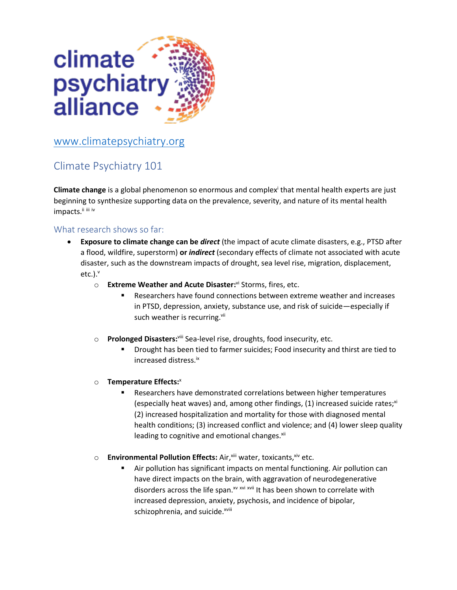

## [www.climatepsychiatry.org](http://www.climatepsychiatry.org/)

## Climate Psychiatry 101

**Climate change** is a global phenomenon so enormous and complex<sup>i</sup> that mental health experts are just beginning to synthesize supporting data on the prevalence, severity, and nature of its mental health impacts." iii iv

## What research shows so far:

- **Exposure to climate change can be** *direct* (the impact of acute climate disasters, e.g., PTSD after a flood, wildfire, superstorm) **or** *indirect* (secondary effects of climate not associated with acute disaster, such as the downstream impacts of drought, sea level rise, migration, displacement,  $etc.$ ). $<sup>v</sup>$ </sup>
	- o **Extreme Weather and Acute Disaster:**<sup>vi</sup> Storms, fires, etc.
		- Researchers have found connections between extreme weather and increases in PTSD, depression, anxiety, substance use, and risk of suicide—especially if such weather is recurring.<sup>vii</sup>
	- o **Prolonged Disasters:**viii Sea-level rise, droughts, food insecurity, etc.
		- Drought has been tied to farmer suicides; Food insecurity and thirst are tied to increased distress.ix
	- o **Temperature Effects:** x
		- Researchers have demonstrated correlations between higher temperatures (especially heat waves) and, among other findings,  $(1)$  increased suicide rates;<sup>xi</sup> (2) increased hospitalization and mortality for those with diagnosed mental health conditions; (3) increased conflict and violence; and (4) lower sleep quality leading to cognitive and emotional changes.<sup>xii</sup>
	- o **Environmental Pollution Effects:** Air, <sup>xiii</sup> water, toxicants, xiv etc.
		- Air pollution has significant impacts on mental functioning. Air pollution can have direct impacts on the brain, with aggravation of neurodegenerative disorders across the life span.<sup>xv</sup> xvi xvii It has been shown to correlate with increased depression, anxiety, psychosis, and incidence of bipolar, schizophrenia, and suicide.<sup>xviii</sup>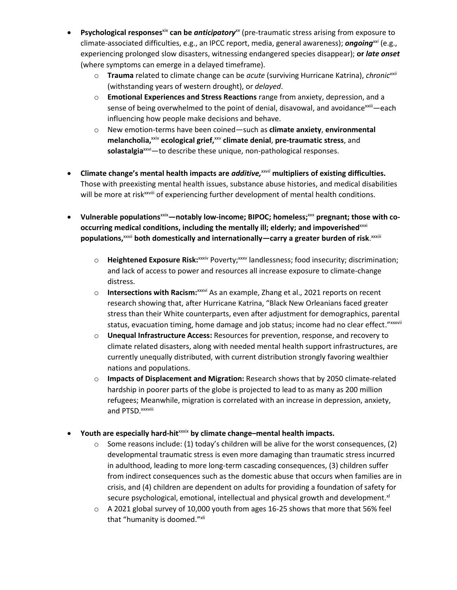- **Psychological responses**<sup>xix</sup> **can be** *anticipatory*<sup>*xx*</sup> (pre-traumatic stress arising from exposure to climate-associated difficulties, e.g., an IPCC report, media, general awareness); *ongoingxxi* (e.g., experiencing prolonged slow disasters, witnessing endangered species disappear); **or** *late onset*  (where symptoms can emerge in a delayed timeframe).
	- o **Trauma** related to climate change can be *acute* (surviving Hurricane Katrina), *chronicxxii* (withstanding years of western drought), or *delayed*.
	- o **Emotional Experiences and Stress Reactions** range from anxiety, depression, and a sense of being overwhelmed to the point of denial, disavowal, and avoidance<sup>xxiii</sup>—each influencing how people make decisions and behave.
	- o New emotion-terms have been coined—such as **climate anxiety**, **environmental**   $m$ elancholia,  $x_i \vee p$  ecological grief,  $x \vee p$  climate denial, pre-traumatic stress, and solastalgia<sup>xxvi</sup>—to describe these unique, non-pathological responses.
- **Climate change's mental health impacts are** *additive, xxvii* **multipliers of existing difficulties.** Those with preexisting mental health issues, substance abuse histories, and medical disabilities will be more at risk<sup>xxviii</sup> of experiencing further development of mental health conditions.
- Vulnerable populations<sup>xxix</sup>—notably low-income; BIPOC; homeless;<sup>xxx</sup> pregnant; those with co**occurring medical conditions, including the mentally ill; elderly; and impoverished**xxxi **populations,** xxxii **both domestically and internationally—carry a greater burden of risk**. xxxiii
	- o **Heightened Exposure Risk:**xxxiv Poverty;xxxv landlessness; food insecurity; discrimination; and lack of access to power and resources all increase exposure to climate-change distress.
	- o **Intersections with Racism:**xxxvi As an example, Zhang et al., 2021 reports on recent research showing that, after Hurricane Katrina, "Black New Orleanians faced greater stress than their White counterparts, even after adjustment for demographics, parental status, evacuation timing, home damage and job status; income had no clear effect."xxxvii
	- o **Unequal Infrastructure Access:** Resources for prevention, response, and recovery to climate related disasters, along with needed mental health support infrastructures, are currently unequally distributed, with current distribution strongly favoring wealthier nations and populations.
	- o **Impacts of Displacement and Migration:** Research shows that by 2050 climate-related hardship in poorer parts of the globe is projected to lead to as many as 200 million refugees; Meanwhile, migration is correlated with an increase in depression, anxiety, and PTSD. xxxviii
- **Youth are especially hard-hit**xxxix **by climate change–mental health impacts.**
	- $\circ$  Some reasons include: (1) today's children will be alive for the worst consequences, (2) developmental traumatic stress is even more damaging than traumatic stress incurred in adulthood, leading to more long-term cascading consequences, (3) children suffer from indirect consequences such as the domestic abuse that occurs when families are in crisis, and (4) children are dependent on adults for providing a foundation of safety for secure psychological, emotional, intellectual and physical growth and development.<sup>xl</sup>
	- $\circ$  A 2021 global survey of 10,000 youth from ages 16-25 shows that more that 56% feel that "humanity is doomed."xli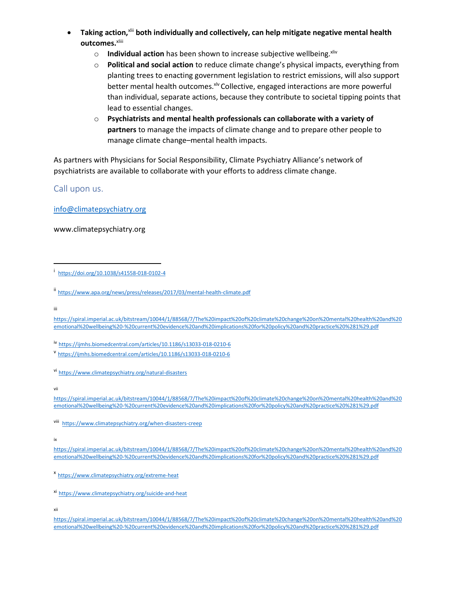- **Taking action,**xlii **both individually and collectively, can help mitigate negative mental health outcomes.**xliii
	- o **Individual action** has been shown to increase subjective wellbeing.<sup>xliv</sup>
	- o **Political and social action** to reduce climate change's physical impacts, everything from planting trees to enacting government legislation to restrict emissions, will also support better mental health outcomes. XIV Collective, engaged interactions are more powerful than individual, separate actions, because they contribute to societal tipping points that lead to essential changes.
	- o **Psychiatrists and mental health professionals can collaborate with a variety of partners** to manage the impacts of climate change and to prepare other people to manage climate change–mental health impacts.

As partners with Physicians for Social Responsibility, Climate Psychiatry Alliance's network of psychiatrists are available to collaborate with your efforts to address climate change.

Call upon us.

[info@climatepsychiatry.org](mailto:info@climatepsychiatry.org)

www.climatepsychiatry.org

iii

[https://spiral.imperial.ac.uk/bitstream/10044/1/88568/7/The%20impact%20of%20climate%20change%20on%20mental%20health%20and%20](https://spiral.imperial.ac.uk/bitstream/10044/1/88568/7/The%20impact%20of%20climate%20change%20on%20mental%20health%20and%20emotional%20wellbeing%20-%20current%20evidence%20and%20implications%20for%20policy%20and%20practice%20%281%29.pdf) [emotional%20wellbeing%20-%20current%20evidence%20and%20implications%20for%20policy%20and%20practice%20%281%29.pdf](https://spiral.imperial.ac.uk/bitstream/10044/1/88568/7/The%20impact%20of%20climate%20change%20on%20mental%20health%20and%20emotional%20wellbeing%20-%20current%20evidence%20and%20implications%20for%20policy%20and%20practice%20%281%29.pdf)

iv <https://ijmhs.biomedcentral.com/articles/10.1186/s13033-018-0210-6>

vi <https://www.climatepsychiatry.org/natural-disasters>

viii <https://www.climatepsychiatry.org/when-disasters-creep>

ix

[https://spiral.imperial.ac.uk/bitstream/10044/1/88568/7/The%20impact%20of%20climate%20change%20on%20mental%20health%20and%20](https://spiral.imperial.ac.uk/bitstream/10044/1/88568/7/The%20impact%20of%20climate%20change%20on%20mental%20health%20and%20emotional%20wellbeing%20-%20current%20evidence%20and%20implications%20for%20policy%20and%20practice%20%281%29.pdf) [emotional%20wellbeing%20-%20current%20evidence%20and%20implications%20for%20policy%20and%20practice%20%281%29.pdf](https://spiral.imperial.ac.uk/bitstream/10044/1/88568/7/The%20impact%20of%20climate%20change%20on%20mental%20health%20and%20emotional%20wellbeing%20-%20current%20evidence%20and%20implications%20for%20policy%20and%20practice%20%281%29.pdf)

i <https://doi.org/10.1038/s41558-018-0102-4>

ii <https://www.apa.org/news/press/releases/2017/03/mental-health-climate.pdf>

v<br><https://ijmhs.biomedcentral.com/articles/10.1186/s13033-018-0210-6>

vii

[https://spiral.imperial.ac.uk/bitstream/10044/1/88568/7/The%20impact%20of%20climate%20change%20on%20mental%20health%20and%20](https://spiral.imperial.ac.uk/bitstream/10044/1/88568/7/The%20impact%20of%20climate%20change%20on%20mental%20health%20and%20emotional%20wellbeing%20-%20current%20evidence%20and%20implications%20for%20policy%20and%20practice%20%281%29.pdf) [emotional%20wellbeing%20-%20current%20evidence%20and%20implications%20for%20policy%20and%20practice%20%281%29.pdf](https://spiral.imperial.ac.uk/bitstream/10044/1/88568/7/The%20impact%20of%20climate%20change%20on%20mental%20health%20and%20emotional%20wellbeing%20-%20current%20evidence%20and%20implications%20for%20policy%20and%20practice%20%281%29.pdf)

x <https://www.climatepsychiatry.org/extreme-heat>

xi <https://www.climatepsychiatry.org/suicide-and-heat>

xii

[https://spiral.imperial.ac.uk/bitstream/10044/1/88568/7/The%20impact%20of%20climate%20change%20on%20mental%20health%20and%20](https://spiral.imperial.ac.uk/bitstream/10044/1/88568/7/The%20impact%20of%20climate%20change%20on%20mental%20health%20and%20emotional%20wellbeing%20-%20current%20evidence%20and%20implications%20for%20policy%20and%20practice%20%281%29.pdf) [emotional%20wellbeing%20-%20current%20evidence%20and%20implications%20for%20policy%20and%20practice%20%281%29.pdf](https://spiral.imperial.ac.uk/bitstream/10044/1/88568/7/The%20impact%20of%20climate%20change%20on%20mental%20health%20and%20emotional%20wellbeing%20-%20current%20evidence%20and%20implications%20for%20policy%20and%20practice%20%281%29.pdf)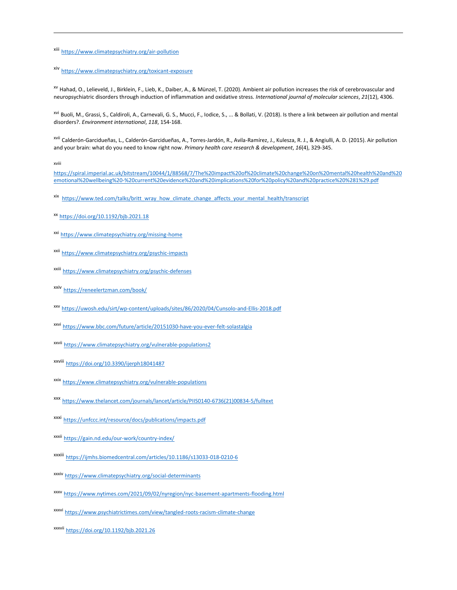xiii <https://www.climatepsychiatry.org/air-pollution>

xiv <https://www.climatepsychiatry.org/toxicant-exposure>

xv Hahad, O., Lelieveld, J., Birklein, F., Lieb, K., Daiber, A., & Münzel, T. (2020). Ambient air pollution increases the risk of cerebrovascular and neuropsychiatric disorders through induction of inflammation and oxidative stress. *International journal of molecular sciences*, *21*(12), 4306.

<sup>xvi</sup> Buoli, M., Grassi, S., Caldiroli, A., Carnevali, G. S., Mucci, F., Iodice, S., ... & Bollati, V. (2018). Is there a link between air pollution and mental disorders?. *Environment international*, *118*, 154-168.

xvii Calderón-Garcidueñas, L., Calderón-Garcidueñas, A., Torres-Jardón, R., Avila-Ramírez, J., Kulesza, R. J., & Angiulli, A. D. (2015). Air pollution and your brain: what do you need to know right now. *Primary health care research & development*, *16*(4), 329-345.

xviii

[https://spiral.imperial.ac.uk/bitstream/10044/1/88568/7/The%20impact%20of%20climate%20change%20on%20mental%20health%20and%20](https://spiral.imperial.ac.uk/bitstream/10044/1/88568/7/The%20impact%20of%20climate%20change%20on%20mental%20health%20and%20emotional%20wellbeing%20-%20current%20evidence%20and%20implications%20for%20policy%20and%20practice%20%281%29.pdf) [emotional%20wellbeing%20-%20current%20evidence%20and%20implications%20for%20policy%20and%20practice%20%281%29.pdf](https://spiral.imperial.ac.uk/bitstream/10044/1/88568/7/The%20impact%20of%20climate%20change%20on%20mental%20health%20and%20emotional%20wellbeing%20-%20current%20evidence%20and%20implications%20for%20policy%20and%20practice%20%281%29.pdf)

- xix [https://www.ted.com/talks/britt\\_wray\\_how\\_climate\\_change\\_affects\\_your\\_mental\\_health/transcript](https://www.ted.com/talks/britt_wray_how_climate_change_affects_your_mental_health/transcript)
- xx <https://doi.org/10.1192/bjb.2021.18>
- xxi <https://www.climatepsychiatry.org/missing-home>
- xxii <https://www.climatepsychiatry.org/psychic-impacts>
- xxiii <https://www.climatepsychiatry.org/psychic-defenses>
- xxiv <https://reneelertzman.com/book/>
- xxv <https://uwosh.edu/sirt/wp-content/uploads/sites/86/2020/04/Cunsolo-and-Ellis-2018.pdf>
- xxvi <https://www.bbc.com/future/article/20151030-have-you-ever-felt-solastalgia>
- xxvii <https://www.climatepsychiatry.org/vulnerable-populations2>
- xxviii <https://doi.org/10.3390/ijerph18041487>
- xxix <https://www.climatepsychiatry.org/vulnerable-populations>
- xxx [https://www.thelancet.com/journals/lancet/article/PIIS0140-6736\(21\)00834-5/fulltext](https://www.thelancet.com/journals/lancet/article/PIIS0140-6736(21)00834-5/fulltext)
- xxxi <https://unfccc.int/resource/docs/publications/impacts.pdf>
- xxxii <https://gain.nd.edu/our-work/country-index/>
- xxxiii <https://ijmhs.biomedcentral.com/articles/10.1186/s13033-018-0210-6>
- xxxiv <https://www.climatepsychiatry.org/social-determinants>
- xxxv <https://www.nytimes.com/2021/09/02/nyregion/nyc-basement-apartments-flooding.html>
- xxxvi <https://www.psychiatrictimes.com/view/tangled-roots-racism-climate-change>
- xxxvii <https://doi.org/10.1192/bjb.2021.26>